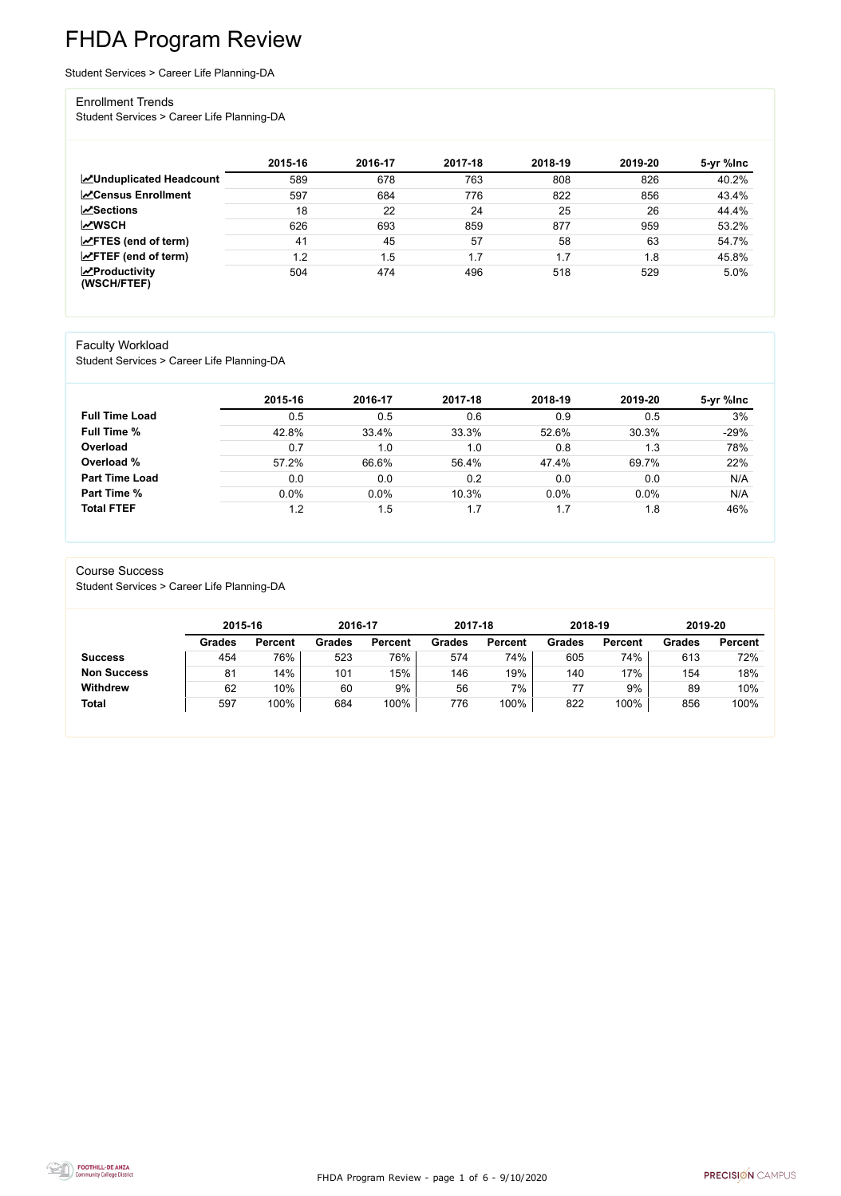FHDA Program Review - page 1 of 6 - 9/10/2020



# FHDA Program Review

Student Services > Career Life Planning-DA

#### Enrollment Trends

Student Services > Career Life Planning-DA

|                                    | 2015-16 | 2016-17 | 2017-18 | 2018-19 | 2019-20 | 5-yr %lnc |
|------------------------------------|---------|---------|---------|---------|---------|-----------|
| <b>ZUnduplicated Headcount</b>     | 589     | 678     | 763     | 808     | 826     | 40.2%     |
| <b>∠</b> Census Enrollment         | 597     | 684     | 776     | 822     | 856     | 43.4%     |
| <b>∠Sections</b>                   | 18      | 22      | 24      | 25      | 26      | 44.4%     |
| <b>MWSCH</b>                       | 626     | 693     | 859     | 877     | 959     | 53.2%     |
| $\angle$ FTES (end of term)        | 41      | 45      | 57      | 58      | 63      | 54.7%     |
| $\angle$ FTEF (end of term)        | 1.2     | i .5    | 1.7     | 1.7     | 1.8     | 45.8%     |
| $\chi$ Productivity<br>(WSCH/FTEF) | 504     | 474     | 496     | 518     | 529     | 5.0%      |

#### Faculty Workload

Student Services > Career Life Planning-DA

|                       | 2015-16 | 2016-17 | 2017-18 | 2018-19 | 2019-20 | 5-yr %lnc |
|-----------------------|---------|---------|---------|---------|---------|-----------|
| <b>Full Time Load</b> | 0.5     | 0.5     | 0.6     | 0.9     | 0.5     | 3%        |
| <b>Full Time %</b>    | 42.8%   | 33.4%   | 33.3%   | 52.6%   | 30.3%   | $-29%$    |
| Overload              | 0.7     | 1.0     | 1.0     | 0.8     | 1.3     | 78%       |
| Overload %            | 57.2%   | 66.6%   | 56.4%   | 47.4%   | 69.7%   | 22%       |
| <b>Part Time Load</b> | 0.0     | 0.0     | 0.2     | 0.0     | 0.0     | N/A       |
| <b>Part Time %</b>    | 0.0%    | 0.0%    | 10.3%   | 0.0%    | 0.0%    | N/A       |
| <b>Total FTEF</b>     | 1.2     | 1.5     | 1.7     | 1.7     | 1.8     | 46%       |

#### Course Success

Student Services > Career Life Planning-DA

|                    |               | 2015-16        |               | 2016-17        | 2017-18       |                | 2018-19       |                | 2019-20       |                |
|--------------------|---------------|----------------|---------------|----------------|---------------|----------------|---------------|----------------|---------------|----------------|
|                    | <b>Grades</b> | <b>Percent</b> | <b>Grades</b> | <b>Percent</b> | <b>Grades</b> | <b>Percent</b> | <b>Grades</b> | <b>Percent</b> | <b>Grades</b> | <b>Percent</b> |
| <b>Success</b>     | 454           | 76%            | 523           | 76%            | 574           | 74%            | 605           | 74%            | 613           | 72%            |
| <b>Non Success</b> | 81            | 14%            | 101           | 15%            | 146           | 19%            | 140           | 17%            | 154           | 18%            |
| <b>Withdrew</b>    | 62            | 10%            | 60            | 9%             | 56            | 7%             |               | 9%             | 89            | 10%            |
| <b>Total</b>       | 597           | 100%           | 684           | 100%           | 776           | 100%           | 822           | 100%           | 856           | 100%           |

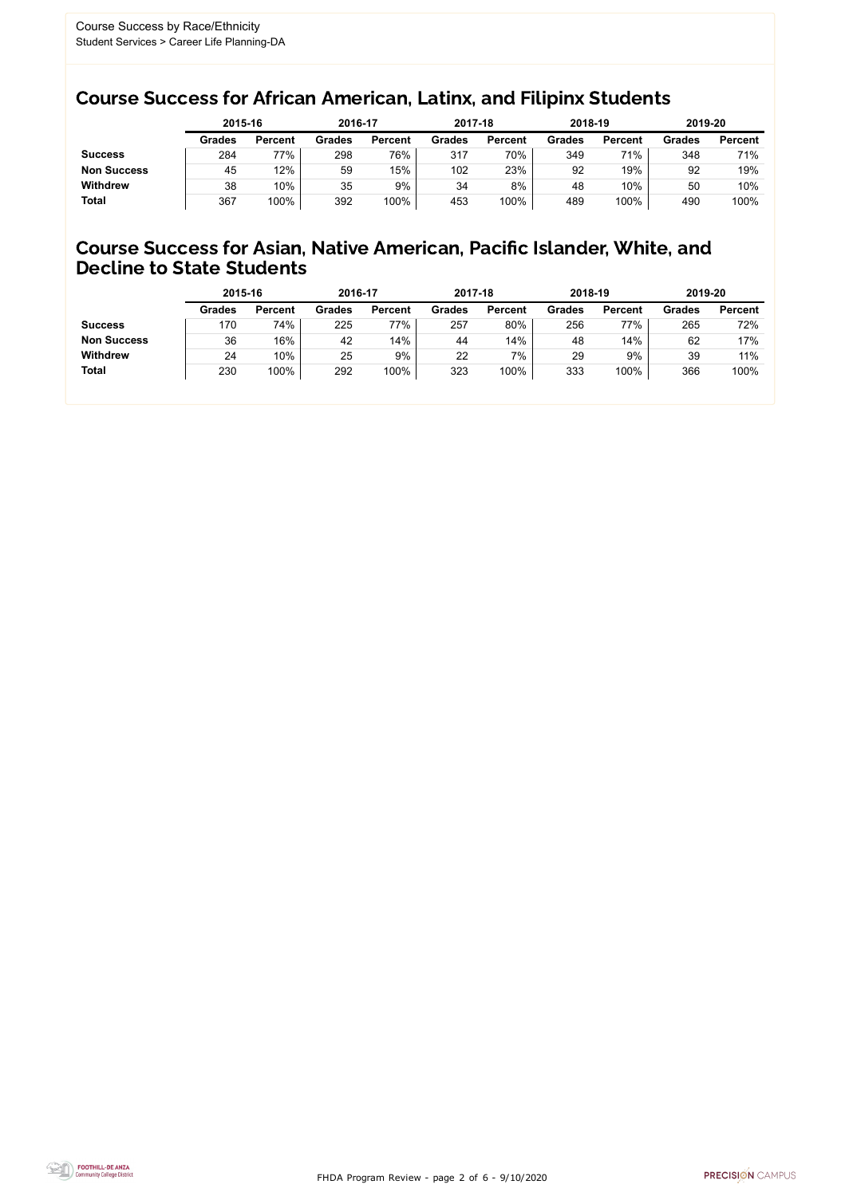FHDA Program Review - page 2 of 6 - 9/10/2020



### Course Success for African American, Latinx, and Filipinx Students

### Course Success for Asian, Native American, Pacific Islander, White, and Decline to State Students

|                    | 2015-16       |                | 2016-17       |                | 2017-18       |                | 2018-19       |                | 2019-20       |                |
|--------------------|---------------|----------------|---------------|----------------|---------------|----------------|---------------|----------------|---------------|----------------|
|                    | <b>Grades</b> | <b>Percent</b> | <b>Grades</b> | <b>Percent</b> | <b>Grades</b> | <b>Percent</b> | <b>Grades</b> | <b>Percent</b> | <b>Grades</b> | <b>Percent</b> |
| <b>Success</b>     | 284           | 77%            | 298           | 76%            | 317           | 70%            | 349           | 71%            | 348           | 71%            |
| <b>Non Success</b> | 45            | 12%            | 59            | 15%            | 102           | 23%            | 92            | 19%            | 92            | 19%            |
| <b>Withdrew</b>    | 38            | 10%            | 35            | 9%             | 34            | 8%             | 48            | 10%            | 50            | 10%            |
| <b>Total</b>       | 367           | 100%           | 392           | 100%           | 453           | 100%           | 489           | 100%           | 490           | 100%           |

|                    | 2015-16       |                | 2016-17       |                | 2017-18       |                | 2018-19       |                | 2019-20       |                |
|--------------------|---------------|----------------|---------------|----------------|---------------|----------------|---------------|----------------|---------------|----------------|
|                    | <b>Grades</b> | <b>Percent</b> | <b>Grades</b> | <b>Percent</b> | <b>Grades</b> | <b>Percent</b> | <b>Grades</b> | <b>Percent</b> | <b>Grades</b> | <b>Percent</b> |
| <b>Success</b>     | 170           | 74%            | 225           | 77%            | 257           | 80%            | 256           | 77%            | 265           | 72%            |
| <b>Non Success</b> | 36            | 16%            | 42            | 14%            | 44            | 14%            | 48            | 14%            | 62            | 17%            |
| <b>Withdrew</b>    | 24            | 10%            | 25            | 9%             | 22            | 7%             | 29            | 9%             | 39            | 11%            |
| <b>Total</b>       | 230           | 100%           | 292           | 100%           | 323           | 100%           | 333           | 100%           | 366           | 100%           |
|                    |               |                |               |                |               |                |               |                |               |                |

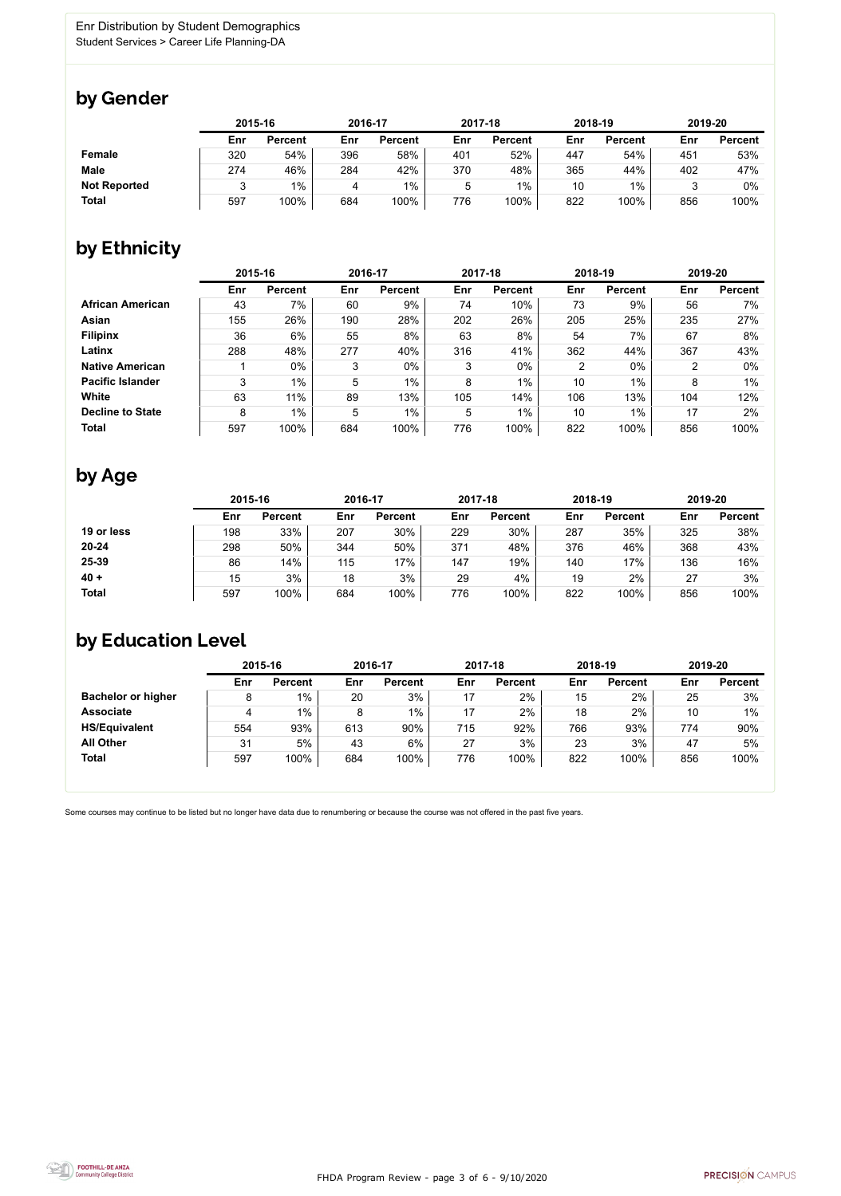

Some courses may continue to be listed but no longer have data due to renumbering or because the course was not offered in the past five years.



### by Gender

|                     | 2015-16 |                |     | 2016-17        |     | 2017-18        |     | 2018-19        | 2019-20 |                |
|---------------------|---------|----------------|-----|----------------|-----|----------------|-----|----------------|---------|----------------|
|                     | Enr     | <b>Percent</b> | Enr | <b>Percent</b> | Enr | <b>Percent</b> | Enr | <b>Percent</b> | Enr     | <b>Percent</b> |
| <b>Female</b>       | 320     | 54%            | 396 | 58%            | 401 | 52%            | 447 | 54%            | 451     | 53%            |
| <b>Male</b>         | 274     | 46%            | 284 | 42%            | 370 | 48%            | 365 | 44%            | 402     | 47%            |
| <b>Not Reported</b> |         | $1\%$          |     | 1%             | 5   | 1%             | 10  | $1\%$          |         | 0%             |
| <b>Total</b>        | 597     | 100%           | 684 | 100%           | 776 | 100%           | 822 | 100%           | 856     | 100%           |

### by Ethnicity

|                         |     | 2015-16        |     | 2016-17        |     | 2017-18        |                | 2018-19        | 2019-20 |                |
|-------------------------|-----|----------------|-----|----------------|-----|----------------|----------------|----------------|---------|----------------|
|                         | Enr | <b>Percent</b> | Enr | <b>Percent</b> | Enr | <b>Percent</b> | Enr            | <b>Percent</b> | Enr     | <b>Percent</b> |
| <b>African American</b> | 43  | 7%             | 60  | 9%             | 74  | 10%            | 73             | 9%             | 56      | 7%             |
| Asian                   | 155 | 26%            | 190 | 28%            | 202 | 26%            | 205            | 25%            | 235     | 27%            |
| <b>Filipinx</b>         | 36  | 6%             | 55  | 8%             | 63  | 8%             | 54             | 7%             | 67      | 8%             |
| Latinx                  | 288 | 48%            | 277 | 40%            | 316 | 41%            | 362            | 44%            | 367     | 43%            |
| <b>Native American</b>  |     | $0\%$          | 3   | $0\%$          | 3   | $0\%$          | $\overline{2}$ | $0\%$          | 2       | 0%             |
| <b>Pacific Islander</b> | 3   | 1%             | 5   | $1\%$          | 8   | $1\%$          | 10             | 1%             | 8       | 1%             |
| <b>White</b>            | 63  | 11%            | 89  | 13%            | 105 | 14%            | 106            | 13%            | 104     | 12%            |
| <b>Decline to State</b> | 8   | $1\%$          | 5   | $1\%$          | 5   | $1\%$          | 10             | $1\%$          | 17      | 2%             |
| <b>Total</b>            | 597 | 100%           | 684 | 100%           | 776 | 100%           | 822            | 100%           | 856     | 100%           |

### by Age

|              | 2015-16 |                |     | 2016-17        |     | 2017-18        |     | 2018-19        | 2019-20 |                |
|--------------|---------|----------------|-----|----------------|-----|----------------|-----|----------------|---------|----------------|
|              | Enr     | <b>Percent</b> | Enr | <b>Percent</b> | Enr | <b>Percent</b> | Enr | <b>Percent</b> | Enr     | <b>Percent</b> |
| 19 or less   | 198     | 33%            | 207 | 30%            | 229 | 30%            | 287 | 35%            | 325     | 38%            |
| $20 - 24$    | 298     | 50%            | 344 | 50%            | 371 | 48%            | 376 | 46%            | 368     | 43%            |
| 25-39        | 86      | 14%            | 115 | 17%            | 147 | 19%            | 140 | 17%            | 136     | 16%            |
| $40 +$       | 15      | 3%             | 18  | 3%             | 29  | 4%             | 19  | 2%             | 27      | 3%             |
| <b>Total</b> | 597     | 100%           | 684 | 100%           | 776 | 100%           | 822 | 100%           | 856     | 100%           |

## by Education Level

|                           | 2015-16 |                |     | 2016-17        |     | 2017-18        |     | 2018-19        | 2019-20 |                |
|---------------------------|---------|----------------|-----|----------------|-----|----------------|-----|----------------|---------|----------------|
|                           | Enr     | <b>Percent</b> | Enr | <b>Percent</b> | Enr | <b>Percent</b> | Enr | <b>Percent</b> | Enr     | <b>Percent</b> |
| <b>Bachelor or higher</b> | 8       | $1\%$          | 20  | 3%             | 17  | 2%             | 15  | 2%             | 25      | 3%             |
| <b>Associate</b>          | 4       | $1\%$          | 8   | $1\%$          | 17  | 2%             | 18  | 2%             | 10      | $1\%$          |
| <b>HS/Equivalent</b>      | 554     | 93%            | 613 | 90%            | 715 | 92%            | 766 | 93%            | 774     | 90%            |
| <b>All Other</b>          | 31      | 5%             | 43  | 6%             | 27  | 3%             | 23  | 3%             | 47      | 5%             |
| <b>Total</b>              | 597     | 100%           | 684 | 100%           | 776 | 100%           | 822 | 100%           | 856     | 100%           |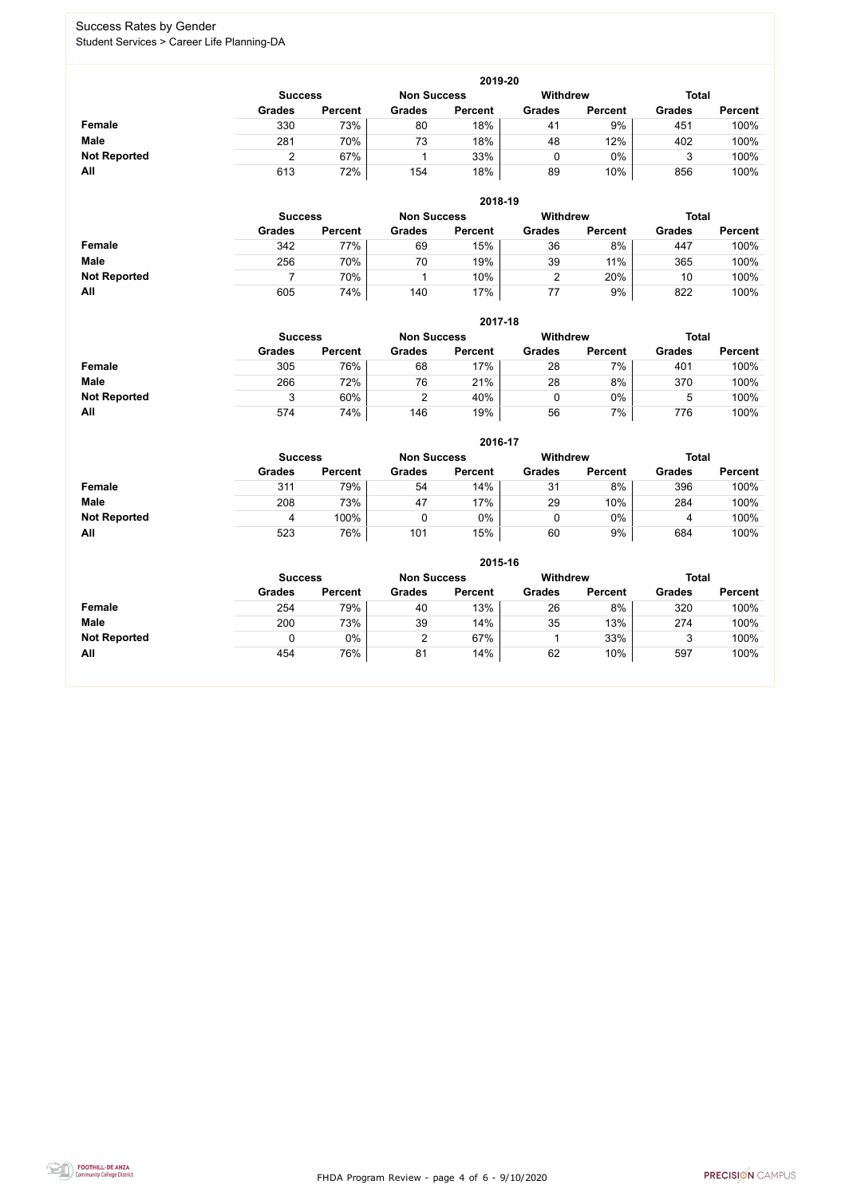FHDA Program Review - page 4 of 6 - 9/10/2020



### Success Rates by Gender Student Services > Career Life Planning-DA

|                     | 2019-20                                                                 |                |               |                |               |                |               |                |  |  |  |  |  |
|---------------------|-------------------------------------------------------------------------|----------------|---------------|----------------|---------------|----------------|---------------|----------------|--|--|--|--|--|
|                     | <b>Total</b><br><b>Withdrew</b><br><b>Non Success</b><br><b>Success</b> |                |               |                |               |                |               |                |  |  |  |  |  |
|                     | <b>Grades</b>                                                           | <b>Percent</b> | <b>Grades</b> | <b>Percent</b> | <b>Grades</b> | <b>Percent</b> | <b>Grades</b> | <b>Percent</b> |  |  |  |  |  |
| <b>Female</b>       | 330                                                                     | 73%            | 80            | 18%            | 41            | 9%             | 451           | 100%           |  |  |  |  |  |
| <b>Male</b>         | 281                                                                     | 70%            | 73            | 18%            | 48            | 12%            | 402           | 100%           |  |  |  |  |  |
| <b>Not Reported</b> |                                                                         | 67%            |               | 33%            |               | $0\%$          |               | 100%           |  |  |  |  |  |
| All                 | 613                                                                     | 72%            | 154           | 18%            | 89            | 10%            | 856           | 100%           |  |  |  |  |  |

|                     |                | 2018-19        |                    |                |                 |                |               |                |  |  |  |  |  |  |
|---------------------|----------------|----------------|--------------------|----------------|-----------------|----------------|---------------|----------------|--|--|--|--|--|--|
|                     | <b>Success</b> |                | <b>Non Success</b> |                | <b>Withdrew</b> |                | <b>Total</b>  |                |  |  |  |  |  |  |
|                     | <b>Grades</b>  | <b>Percent</b> | <b>Grades</b>      | <b>Percent</b> | <b>Grades</b>   | <b>Percent</b> | <b>Grades</b> | <b>Percent</b> |  |  |  |  |  |  |
| <b>Female</b>       | 342            | 77%            | 69                 | 15%            | 36              | 8%             | 447           | 100%           |  |  |  |  |  |  |
| <b>Male</b>         | 256            | 70%            | 70                 | 19%            | 39              | 11%            | 365           | 100%           |  |  |  |  |  |  |
| <b>Not Reported</b> |                | 70%            |                    | 10%            |                 | 20%            | 10            | 100%           |  |  |  |  |  |  |
| All                 | 605            | 74%            | 140                | 17%            | 77              | 9%             | 822           | 100%           |  |  |  |  |  |  |

|                     |               | 2017-18                              |               |                |               |                 |               |                |  |  |  |  |  |  |
|---------------------|---------------|--------------------------------------|---------------|----------------|---------------|-----------------|---------------|----------------|--|--|--|--|--|--|
|                     |               | <b>Non Success</b><br><b>Success</b> |               |                |               | <b>Withdrew</b> | <b>Total</b>  |                |  |  |  |  |  |  |
|                     | <b>Grades</b> | <b>Percent</b>                       | <b>Grades</b> | <b>Percent</b> | <b>Grades</b> | <b>Percent</b>  | <b>Grades</b> | <b>Percent</b> |  |  |  |  |  |  |
| Female              | 305           | 76%                                  | 68            | 17%            | 28            | 7%              | 401           | 100%           |  |  |  |  |  |  |
| <b>Male</b>         | 266           | 72%                                  | 76            | 21%            | 28            | 8%              | 370           | 100%           |  |  |  |  |  |  |
| <b>Not Reported</b> |               | 60%                                  | ົ             | 40%            |               | 0%              | Ⴆ             | 100%           |  |  |  |  |  |  |
| All                 | 574           | 74%                                  | 146           | 19%            | 56            | 7%              | 776           | 100%           |  |  |  |  |  |  |

|                     |               | 2016-17        |               |                |                 |                |               |                |  |  |
|---------------------|---------------|----------------|---------------|----------------|-----------------|----------------|---------------|----------------|--|--|
|                     |               | <b>Success</b> |               |                | <b>Withdrew</b> |                | <b>Total</b>  |                |  |  |
|                     | <b>Grades</b> | <b>Percent</b> | <b>Grades</b> | <b>Percent</b> | <b>Grades</b>   | <b>Percent</b> | <b>Grades</b> | <b>Percent</b> |  |  |
| Female              | 311           | 79%            | 54            | 14%            | 31              | 8%             | 396           | 100%           |  |  |
| <b>Male</b>         | 208           | 73%            | 47            | 17%            | 29              | 10%            | 284           | 100%           |  |  |
| <b>Not Reported</b> | 4             | 100%           |               | 0%             |                 | $0\%$          | 4             | 100%           |  |  |
| All                 | 523           | 76%            | 101           | 15%            | 60              | 9%             | 684           | 100%           |  |  |

|                     | 2015-16        |                |                    |                |               |                |               |                |  |
|---------------------|----------------|----------------|--------------------|----------------|---------------|----------------|---------------|----------------|--|
|                     | <b>Success</b> |                | <b>Non Success</b> |                | Withdrew      |                | <b>Total</b>  |                |  |
|                     | <b>Grades</b>  | <b>Percent</b> | <b>Grades</b>      | <b>Percent</b> | <b>Grades</b> | <b>Percent</b> | <b>Grades</b> | <b>Percent</b> |  |
| Female              | 254            | 79%            | 40                 | 13%            | 26            | 8%             | 320           | 100%           |  |
| <b>Male</b>         | 200            | 73%            | 39                 | 14%            | 35            | 13%            | 274           | 100%           |  |
| <b>Not Reported</b> |                | 0%             | $\overline{2}$     | 67%            |               | 33%            | 3             | 100%           |  |
| All                 | 454            | 76%            | 81                 | 14%            | 62            | 10%            | 597           | 100%           |  |

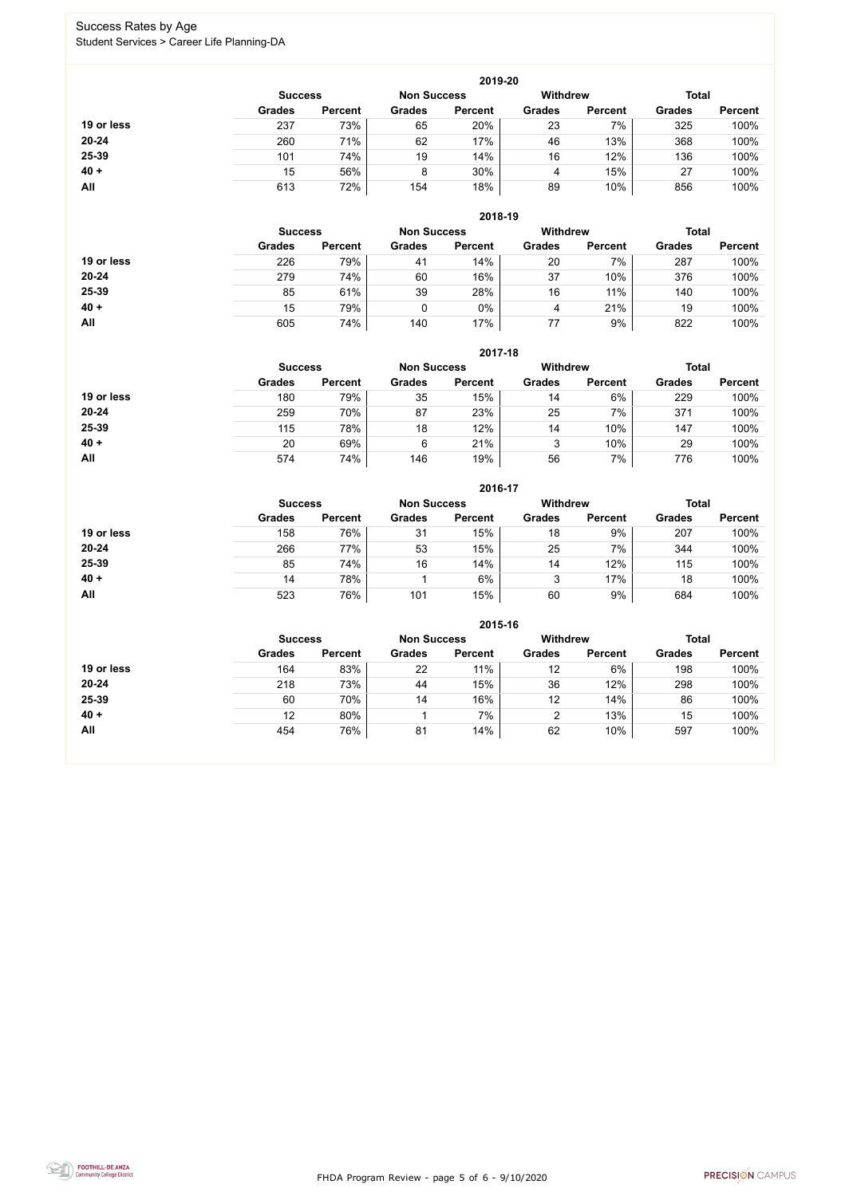FHDA Program Review - page 5 of 6 - 9/10/2020



### Success Rates by Age Student Services > Career Life Planning-DA

|            |                |                |               | 2019-20            |               |                 |               |                |
|------------|----------------|----------------|---------------|--------------------|---------------|-----------------|---------------|----------------|
|            | <b>Success</b> |                |               | <b>Non Success</b> |               | <b>Withdrew</b> | <b>Total</b>  |                |
|            | <b>Grades</b>  | <b>Percent</b> | <b>Grades</b> | <b>Percent</b>     | <b>Grades</b> | <b>Percent</b>  | <b>Grades</b> | <b>Percent</b> |
| 19 or less | 237            | 73%            | 65            | 20%                | 23            | 7%              | 325           | 100%           |
| $20 - 24$  | 260            | 71%            | 62            | 17%                | 46            | 13%             | 368           | 100%           |
| 25-39      | 101            | 74%            | 19            | 14%                | 16            | 12%             | 136           | 100%           |
| $40 +$     | 15             | 56%            | 8             | 30%                | 4             | 15%             | 27            | 100%           |
| <b>All</b> | 613            | 72%            | 154           | 18%                | 89            | 10%             | 856           | 100%           |

|            |                |                |                    | 2018-19        |                 |                |               |                |
|------------|----------------|----------------|--------------------|----------------|-----------------|----------------|---------------|----------------|
|            | <b>Success</b> |                | <b>Non Success</b> |                | <b>Withdrew</b> |                | <b>Total</b>  |                |
|            | <b>Grades</b>  | <b>Percent</b> | <b>Grades</b>      | <b>Percent</b> | <b>Grades</b>   | <b>Percent</b> | <b>Grades</b> | <b>Percent</b> |
| 19 or less | 226            | 79%            | 41                 | 14%            | 20              | 7%             | 287           | 100%           |
| $20 - 24$  | 279            | 74%            | 60                 | 16%            | 37              | 10%            | 376           | 100%           |
| 25-39      | 85             | 61%            | 39                 | 28%            | 16              | 11%            | 140           | 100%           |
| $40 +$     | 15             | 79%            |                    | $0\%$          | 4               | 21%            | 19            | 100%           |
| All        | 605            | 74%            | 140                | 17%            | 77              | 9%             | 822           | 100%           |

|            |                |                |               | 2017-18            |                 |                |               |                |
|------------|----------------|----------------|---------------|--------------------|-----------------|----------------|---------------|----------------|
|            | <b>Success</b> |                |               | <b>Non Success</b> | <b>Withdrew</b> |                | <b>Total</b>  |                |
|            | <b>Grades</b>  | <b>Percent</b> | <b>Grades</b> | <b>Percent</b>     | <b>Grades</b>   | <b>Percent</b> | <b>Grades</b> | <b>Percent</b> |
| 19 or less | 180            | 79%            | 35            | 15%                | 14              | 6%             | 229           | 100%           |
| $20 - 24$  | 259            | 70%            | 87            | 23%                | 25              | 7%             | 371           | 100%           |
| 25-39      | 115            | 78%            | 18            | 12%                | 14              | 10%            | 147           | 100%           |
| $40 +$     | 20             | 69%            | 6             | 21%                | 3               | 10%            | 29            | 100%           |
| All        | 574            | 74%            | 146           | 19%                | 56              | 7%             | 776           | 100%           |

|            |                |                    |                 | 2016-17        |               |                |               |                |
|------------|----------------|--------------------|-----------------|----------------|---------------|----------------|---------------|----------------|
|            | <b>Success</b> | <b>Non Success</b> | <b>Withdrew</b> |                |               | <b>Total</b>   |               |                |
|            | <b>Grades</b>  | <b>Percent</b>     | <b>Grades</b>   | <b>Percent</b> | <b>Grades</b> | <b>Percent</b> | <b>Grades</b> | <b>Percent</b> |
| 19 or less | 158            | 76%                | 31              | 15%            | 18            | 9%             | 207           | 100%           |
| $20 - 24$  | 266            | 77%                | 53              | 15%            | 25            | 7%             | 344           | 100%           |
| 25-39      | 85             | 74%                | 16              | 14%            | 14            | 12%            | 115           | 100%           |
| $40 +$     | 14             | 78%                |                 | 6%             | 3             | 17%            | 18            | 100%           |
| All        | 523            | 76%                | 101             | 15%            | 60            | 9%             | 684           | 100%           |

|            |                |                    |               | 2015-16         |               |                |               |                |
|------------|----------------|--------------------|---------------|-----------------|---------------|----------------|---------------|----------------|
|            | <b>Success</b> | <b>Non Success</b> |               | <b>Withdrew</b> |               | <b>Total</b>   |               |                |
|            | <b>Grades</b>  | <b>Percent</b>     | <b>Grades</b> | <b>Percent</b>  | <b>Grades</b> | <b>Percent</b> | <b>Grades</b> | <b>Percent</b> |
| 19 or less | 164            | 83%                | 22            | 11%             | 12            | 6%             | 198           | 100%           |
| 20-24      | 218            | 73%                | 44            | 15%             | 36            | 12%            | 298           | 100%           |
| 25-39      | 60             | 70%                | 14            | 16%             | 12            | 14%            | 86            | 100%           |
| $40 +$     | 12             | 80%                |               | 7%              | 2             | 13%            | 15            | 100%           |
| All        | 454            | 76%                | 81            | 14%             | 62            | 10%            | 597           | 100%           |